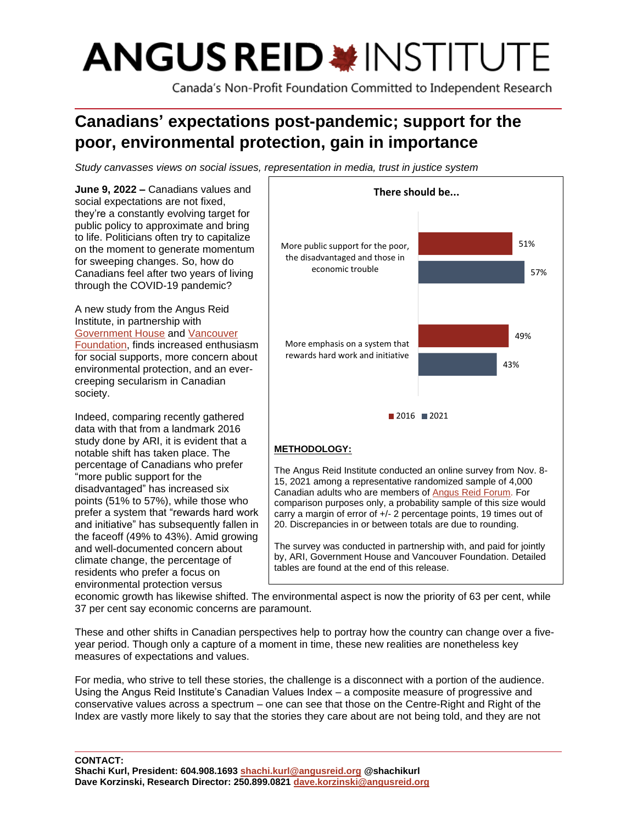# **ANGUS REID \*INSTITUTE**

Canada's Non-Profit Foundation Committed to Independent Research

# **Canadians' expectations post-pandemic; support for the poor, environmental protection, gain in importance**

*Study canvasses views on social issues, representation in media, trust in justice system*

**June 9, 2022 –** Canadians values and social expectations are not fixed, they're a constantly evolving target for public policy to approximate and bring to life. Politicians often try to capitalize on the moment to generate momentum for sweeping changes. So, how do Canadians feel after two years of living through the COVID-19 pandemic? A new study from the Angus Reid Institute, in partnership with [Government House](https://ltgov.bc.ca/) and [Vancouver](https://www.vancouverfoundation.ca/)  [Foundation,](https://www.vancouverfoundation.ca/) finds increased enthusiasm for social supports, more concern about environmental protection, and an evercreeping secularism in Canadian society. Indeed, comparing recently gathered data with that from a landmark 2016 study done by ARI, it is evident that a notable shift has taken place. The percentage of Canadians who prefer "more public support for the disadvantaged" has increased six points (51% to 57%), while those who prefer a system that "rewards hard work and initiative" has subsequently fallen in the faceoff (49% to 43%). Amid growing and well-documented concern about climate change, the percentage of **METHODOLOGY:** The Angus Reid Institute conducted an online survey from Nov. 8- 15, 2021 among a representative randomized sample of 4,000 Canadian adults who are members o[f Angus](http://www.angusreidforum.com/) Reid Forum. For comparison purposes only, a probability sample of this size would carry a margin of error of +/- 2 percentage points, 19 times out of 20. Discrepancies in or between totals are due to rounding. The survey was conducted in partnership with, and paid for jointly by, ARI, Government House and Vancouver Foundation. Detailed tables are found at the end of this release. 43% 57% 49% 51% More emphasis on a system that rewards hard work and initiative More public support for the poor, the disadvantaged and those in economic trouble **There should be...**  $2016$  2021

environmental protection versus economic growth has likewise shifted. The environmental aspect is now the priority of 63 per cent, while 37 per cent say economic concerns are paramount.

These and other shifts in Canadian perspectives help to portray how the country can change over a fiveyear period. Though only a capture of a moment in time, these new realities are nonetheless key measures of expectations and values.

For media, who strive to tell these stories, the challenge is a disconnect with a portion of the audience. Using the Angus Reid Institute's Canadian Values Index – a composite measure of progressive and conservative values across a spectrum – one can see that those on the Centre-Right and Right of the Index are vastly more likely to say that the stories they care about are not being told, and they are not

**CONTACT: Shachi Kurl, President: 604.908.1693 [shachi.kurl@angusreid.org](mailto:shachi.kurl@angusreid.org) @shachikurl**

residents who prefer a focus on

**Dave Korzinski, Research Director: 250.899.0821 [dave.korzinski@angusreid.org](mailto:dave.korzinski@angusreid.org)**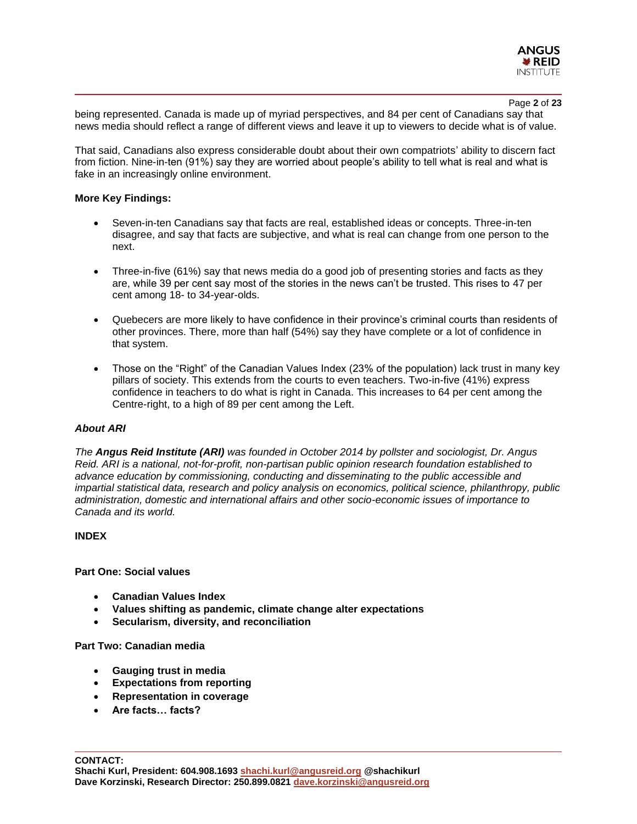

#### Page **2** of **23**

being represented. Canada is made up of myriad perspectives, and 84 per cent of Canadians say that news media should reflect a range of different views and leave it up to viewers to decide what is of value.

That said, Canadians also express considerable doubt about their own compatriots' ability to discern fact from fiction. Nine-in-ten (91%) say they are worried about people's ability to tell what is real and what is fake in an increasingly online environment.

#### **More Key Findings:**

- Seven-in-ten Canadians say that facts are real, established ideas or concepts. Three-in-ten disagree, and say that facts are subjective, and what is real can change from one person to the next.
- Three-in-five (61%) say that news media do a good job of presenting stories and facts as they are, while 39 per cent say most of the stories in the news can't be trusted. This rises to 47 per cent among 18- to 34-year-olds.
- Quebecers are more likely to have confidence in their province's criminal courts than residents of other provinces. There, more than half (54%) say they have complete or a lot of confidence in that system.
- Those on the "Right" of the Canadian Values Index (23% of the population) lack trust in many key pillars of society. This extends from the courts to even teachers. Two-in-five (41%) express confidence in teachers to do what is right in Canada. This increases to 64 per cent among the Centre-right, to a high of 89 per cent among the Left.

#### *About ARI*

*The Angus Reid Institute (ARI) was founded in October 2014 by pollster and sociologist, Dr. Angus Reid. ARI is a national, not-for-profit, non-partisan public opinion research foundation established to advance education by commissioning, conducting and disseminating to the public accessible and impartial statistical data, research and policy analysis on economics, political science, philanthropy, public administration, domestic and international affairs and other socio-economic issues of importance to Canada and its world.*

#### **INDEX**

**Part One: Social values**

- **Canadian Values Index**
- **Values shifting as pandemic, climate change alter expectations**
- **Secularism, diversity, and reconciliation**

#### **Part Two: Canadian media**

- **Gauging trust in media**
- **Expectations from reporting**
- **Representation in coverage**
- **Are facts… facts?**

**CONTACT:**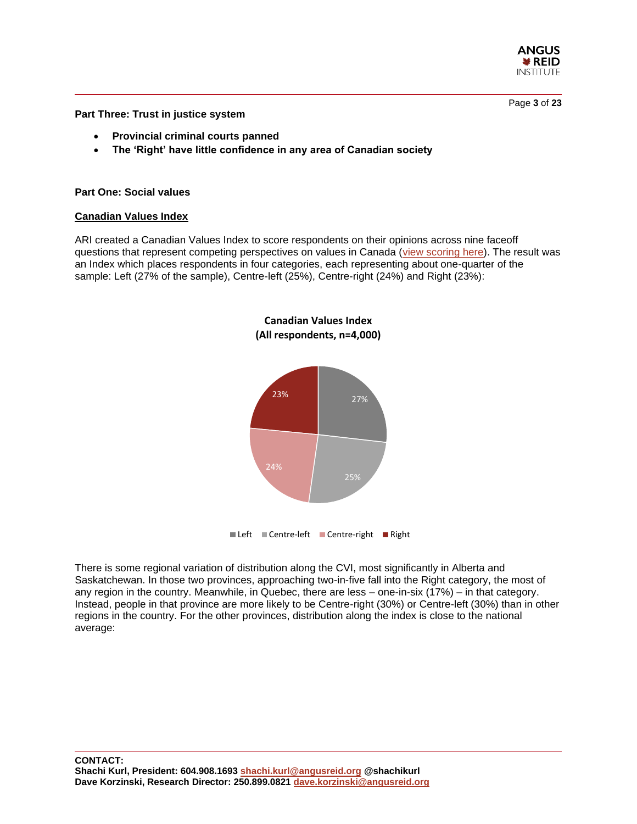

Page **3** of **23**

**Part Three: Trust in justice system**

- **Provincial criminal courts panned**
- **The 'Right' have little confidence in any area of Canadian society**

#### **Part One: Social values**

#### **Canadian Values Index**

ARI created a Canadian Values Index to score respondents on their opinions across nine faceoff questions that represent competing perspectives on values in Canada [\(view scoring here\)](https://angusreid.org/wp-content/uploads/2022/06/Canadian-Values-Index.pdf). The result was an Index which places respondents in four categories, each representing about one-quarter of the sample: Left (27% of the sample), Centre-left (25%), Centre-right (24%) and Right (23%):

**Canadian Values Index**



There is some regional variation of distribution along the CVI, most significantly in Alberta and Saskatchewan. In those two provinces, approaching two-in-five fall into the Right category, the most of any region in the country. Meanwhile, in Quebec, there are less – one-in-six (17%) – in that category. Instead, people in that province are more likely to be Centre-right (30%) or Centre-left (30%) than in other regions in the country. For the other provinces, distribution along the index is close to the national average: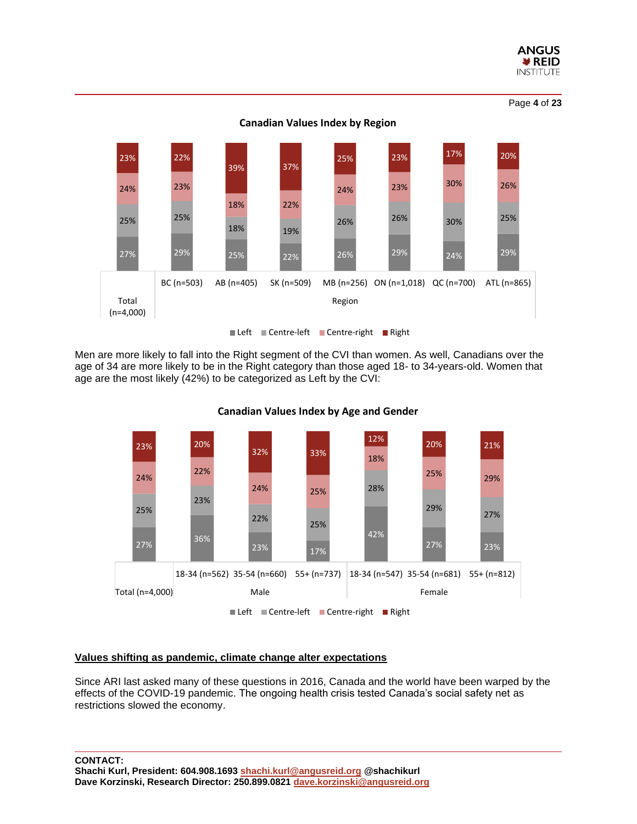

27% 29% 25% 22% 26% 29% 24% 29% 25% 25% 18% 19% 26% 26% 30% 25% 24% 23% 18% 22% 24% 23% 30% 26% 23% 22% 39% 37% 25% 23% 17% 20% BC (n=503) AB (n=405) SK (n=509) MB (n=256) ON (n=1,018) QC (n=700) ATL (n=865) Total (n=4,000) Region **Canadian Values Index by Region** Left Centre-left Centre-right Right

Men are more likely to fall into the Right segment of the CVI than women. As well, Canadians over the age of 34 are more likely to be in the Right category than those aged 18- to 34-years-old. Women that age are the most likely (42%) to be categorized as Left by the CVI:



**Canadian Values Index by Age and Gender**

#### **Values shifting as pandemic, climate change alter expectations**

Since ARI last asked many of these questions in 2016, Canada and the world have been warped by the effects of the COVID-19 pandemic. The ongoing health crisis tested Canada's social safety net as restrictions slowed the economy.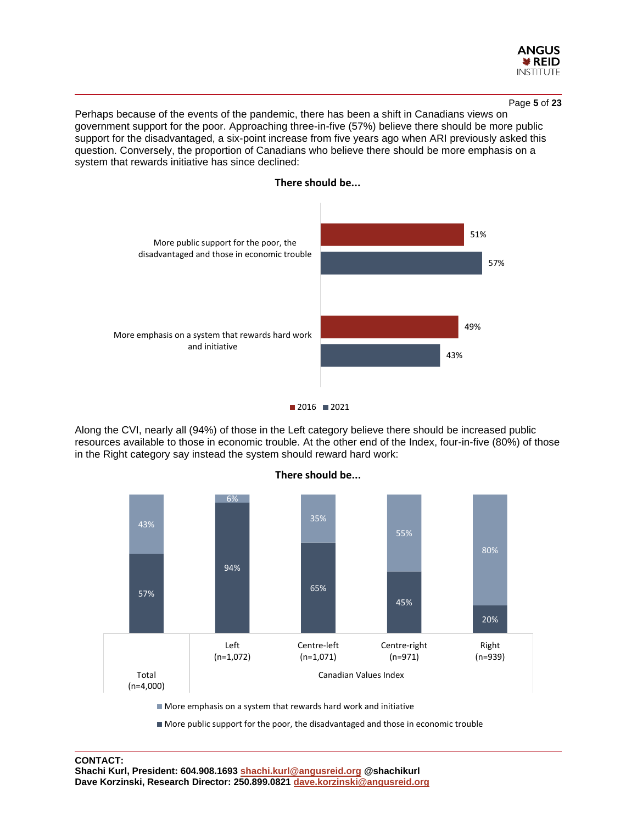

Perhaps because of the events of the pandemic, there has been a shift in Canadians views on government support for the poor. Approaching three-in-five (57%) believe there should be more public support for the disadvantaged, a six-point increase from five years ago when ARI previously asked this question. Conversely, the proportion of Canadians who believe there should be more emphasis on a system that rewards initiative has since declined:



#### **There should be...**



Along the CVI, nearly all (94%) of those in the Left category believe there should be increased public resources available to those in economic trouble. At the other end of the Index, four-in-five (80%) of those in the Right category say instead the system should reward hard work:



More public support for the poor, the disadvantaged and those in economic trouble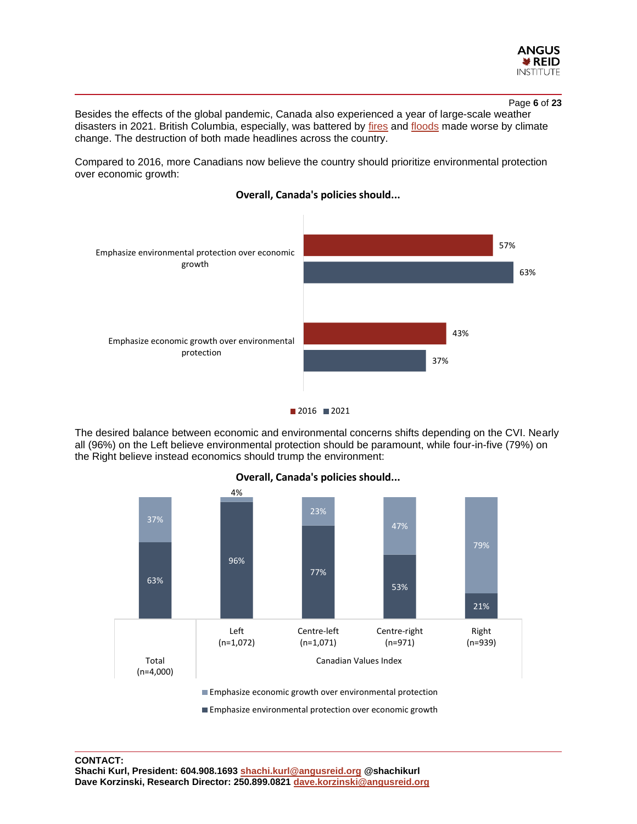

Page **6** of **23**

Besides the effects of the global pandemic, Canada also experienced a year of large-scale weather disasters in 2021. British Columbia, especially, was battered by [fires](https://edmontonjournal.com/news/local-news/severe-wildfires-the-new-normal-due-to-climate-change-b-c-fires-contribute-to-floods-study) and [floods](https://bc.ctvnews.ca/climate-change-made-b-c-floods-at-least-twice-as-likely-environment-canada-study-suggests-1.5784287) made worse by climate change. The destruction of both made headlines across the country.

Compared to 2016, more Canadians now believe the country should prioritize environmental protection over economic growth:







The desired balance between economic and environmental concerns shifts depending on the CVI. Nearly all (96%) on the Left believe environmental protection should be paramount, while four-in-five (79%) on the Right believe instead economics should trump the environment:



**Overall, Canada's policies should...**

**Emphasize economic growth over environmental protection** 

**Emphasize environmental protection over economic growth**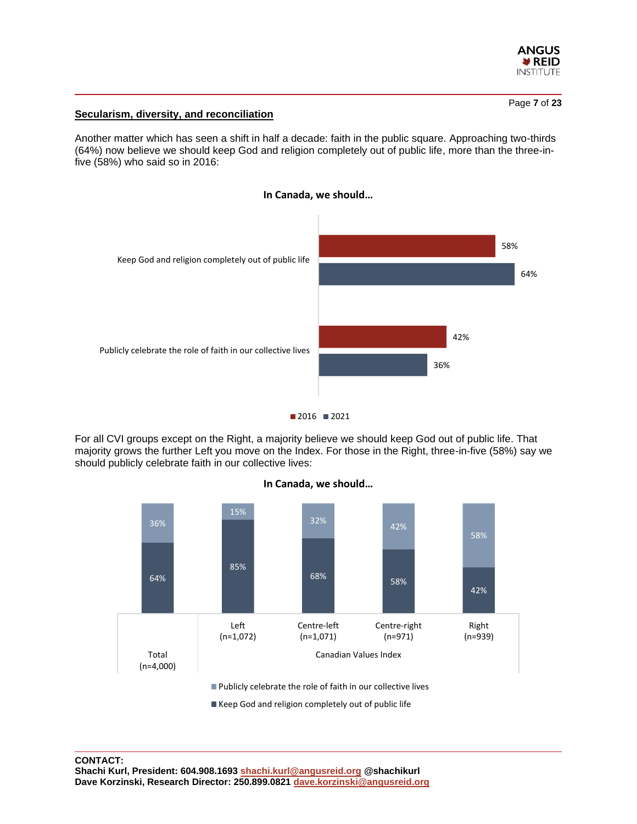

# **Secularism, diversity, and reconciliation**

Another matter which has seen a shift in half a decade: faith in the public square. Approaching two-thirds (64%) now believe we should keep God and religion completely out of public life, more than the three-infive (58%) who said so in 2016:







For all CVI groups except on the Right, a majority believe we should keep God out of public life. That majority grows the further Left you move on the Index. For those in the Right, three-in-five (58%) say we should publicly celebrate faith in our collective lives:



# **In Canada, we should…**

Keep God and religion completely out of public life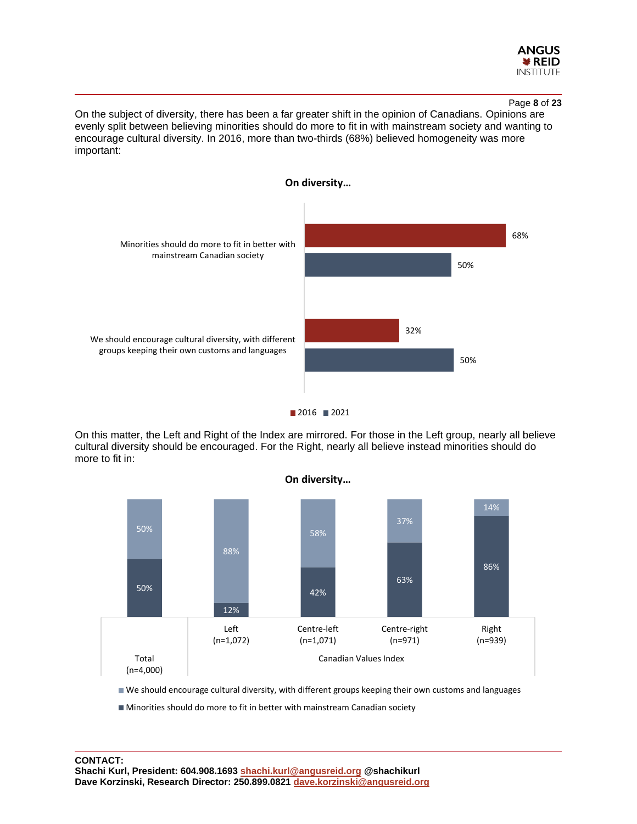

#### Page **8** of **23**

On the subject of diversity, there has been a far greater shift in the opinion of Canadians. Opinions are evenly split between believing minorities should do more to fit in with mainstream society and wanting to encourage cultural diversity. In 2016, more than two-thirds (68%) believed homogeneity was more important:





On this matter, the Left and Right of the Index are mirrored. For those in the Left group, nearly all believe cultural diversity should be encouraged. For the Right, nearly all believe instead minorities should do more to fit in:



We should encourage cultural diversity, with different groups keeping their own customs and languages

Minorities should do more to fit in better with mainstream Canadian society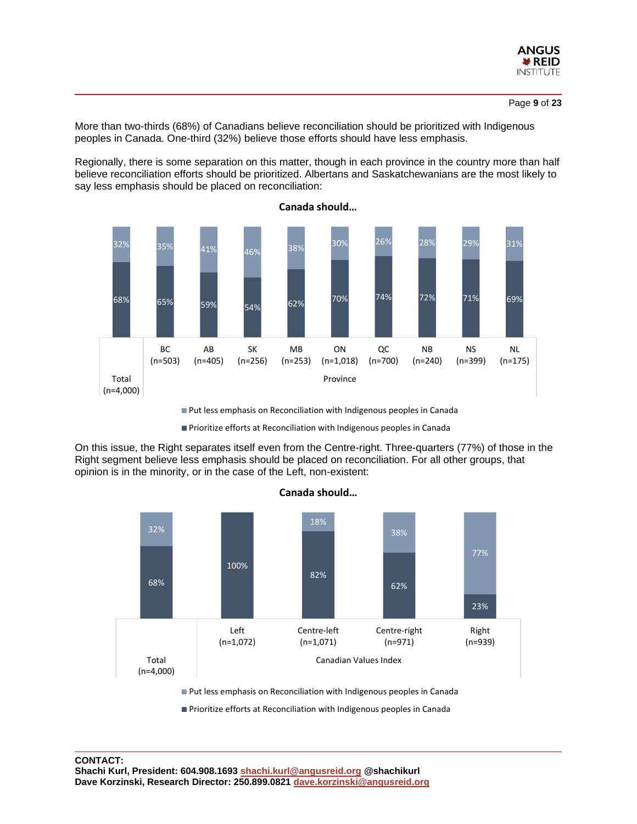

More than two-thirds (68%) of Canadians believe reconciliation should be prioritized with Indigenous peoples in Canada. One-third (32%) believe those efforts should have less emphasis.

Regionally, there is some separation on this matter, though in each province in the country more than half believe reconciliation efforts should be prioritized. Albertans and Saskatchewanians are the most likely to say less emphasis should be placed on reconciliation:



**Canada should…**

**Put less emphasis on Reconciliation with Indigenous peoples in Canada** 

**Prioritize efforts at Reconciliation with Indigenous peoples in Canada** 

On this issue, the Right separates itself even from the Centre-right. Three-quarters (77%) of those in the Right segment believe less emphasis should be placed on reconciliation. For all other groups, that opinion is in the minority, or in the case of the Left, non-existent:

**Canada should…**



■ Put less emphasis on Reconciliation with Indigenous peoples in Canada

**Prioritize efforts at Reconciliation with Indigenous peoples in Canada**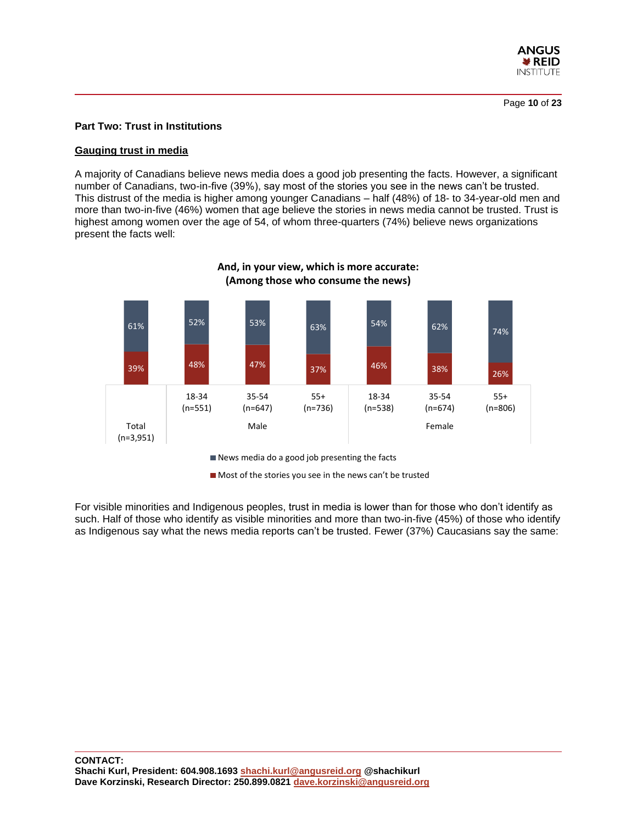

#### **Part Two: Trust in Institutions**

#### **Gauging trust in media**

A majority of Canadians believe news media does a good job presenting the facts. However, a significant number of Canadians, two-in-five (39%), say most of the stories you see in the news can't be trusted. This distrust of the media is higher among younger Canadians – half (48%) of 18- to 34-year-old men and more than two-in-five (46%) women that age believe the stories in news media cannot be trusted. Trust is highest among women over the age of 54, of whom three-quarters (74%) believe news organizations present the facts well:



# **And, in your view, which is more accurate: (Among those who consume the news)**

News media do a good job presenting the facts

 $\blacksquare$  Most of the stories you see in the news can't be trusted

For visible minorities and Indigenous peoples, trust in media is lower than for those who don't identify as such. Half of those who identify as visible minorities and more than two-in-five (45%) of those who identify as Indigenous say what the news media reports can't be trusted. Fewer (37%) Caucasians say the same: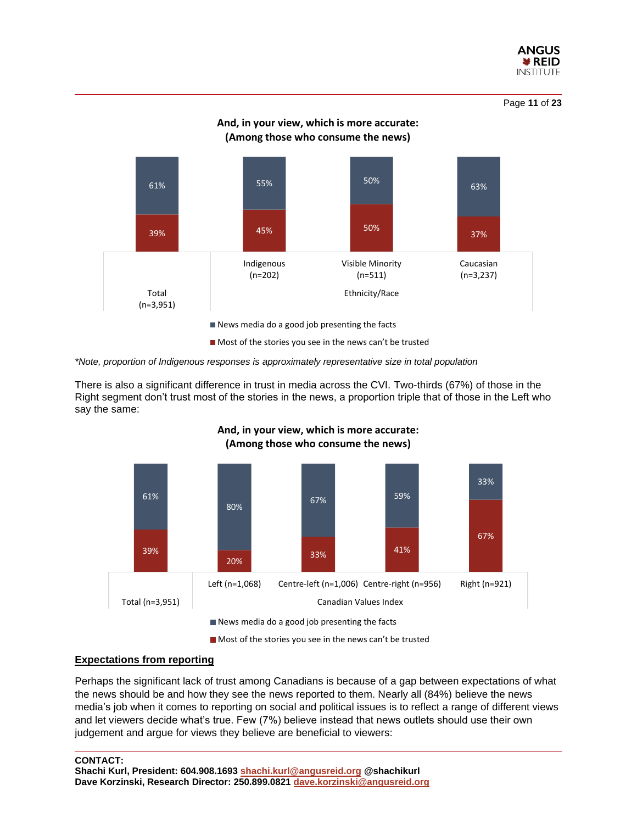

Page **11** of **23**



*\*Note, proportion of Indigenous responses is approximately representative size in total population*

There is also a significant difference in trust in media across the CVI. Two-thirds (67%) of those in the Right segment don't trust most of the stories in the news, a proportion triple that of those in the Left who say the same:



# **And, in your view, which is more accurate: (Among those who consume the news)**

Most of the stories you see in the news can't be trusted

# **Expectations from reporting**

Perhaps the significant lack of trust among Canadians is because of a gap between expectations of what the news should be and how they see the news reported to them. Nearly all (84%) believe the news media's job when it comes to reporting on social and political issues is to reflect a range of different views and let viewers decide what's true. Few (7%) believe instead that news outlets should use their own judgement and argue for views they believe are beneficial to viewers:

#### **CONTACT:**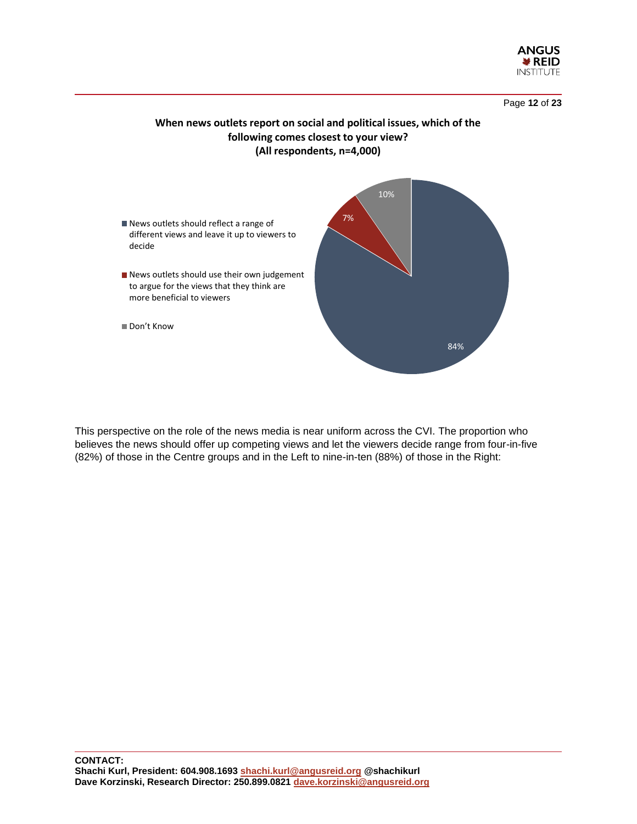



# **When news outlets report on social and political issues, which of the following comes closest to your view? (All respondents, n=4,000)**



This perspective on the role of the news media is near uniform across the CVI. The proportion who believes the news should offer up competing views and let the viewers decide range from four-in-five (82%) of those in the Centre groups and in the Left to nine-in-ten (88%) of those in the Right: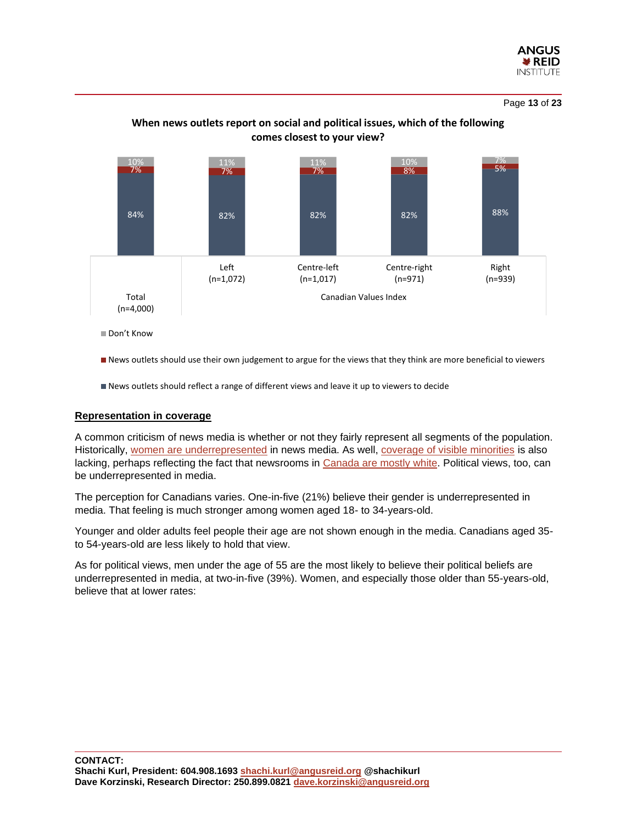

Page **13** of **23**



# **When news outlets report on social and political issues, which of the following comes closest to your view?**

■ Don't Know

News outlets should use their own judgement to argue for the views that they think are more beneficial to viewers

News outlets should reflect a range of different views and leave it up to viewers to decide

#### **Representation in coverage**

A common criticism of news media is whether or not they fairly represent all segments of the population. Historically, [women are underrepresented](https://hbr.org/2019/06/tackling-the-underrepresentation-of-women-in-media) in news media. As well, [coverage of visible minorities](https://policyoptions.irpp.org/magazines/september-2019/canadian-media-lacks-nuance-depth-on-racial-issues/) is also lacking, perhaps reflecting the fact that newsrooms in [Canada are mostly white.](https://policyoptions.irpp.org/magazines/september-2019/canadian-media-lacks-nuance-depth-on-racial-issues/) Political views, too, can be underrepresented in media.

The perception for Canadians varies. One-in-five (21%) believe their gender is underrepresented in media. That feeling is much stronger among women aged 18- to 34-years-old.

Younger and older adults feel people their age are not shown enough in the media. Canadians aged 35 to 54-years-old are less likely to hold that view.

As for political views, men under the age of 55 are the most likely to believe their political beliefs are underrepresented in media, at two-in-five (39%). Women, and especially those older than 55-years-old, believe that at lower rates: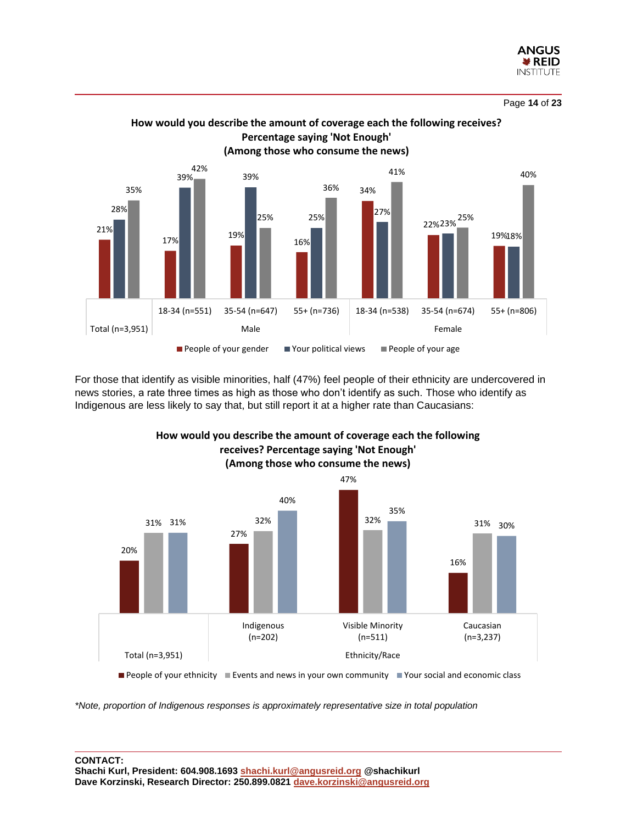



For those that identify as visible minorities, half (47%) feel people of their ethnicity are undercovered in news stories, a rate three times as high as those who don't identify as such. Those who identify as Indigenous are less likely to say that, but still report it at a higher rate than Caucasians:



**How would you describe the amount of coverage each the following receives? Percentage saying 'Not Enough'**

People of your ethnicity Events and news in your own community Your social and economic class

*\*Note, proportion of Indigenous responses is approximately representative size in total population*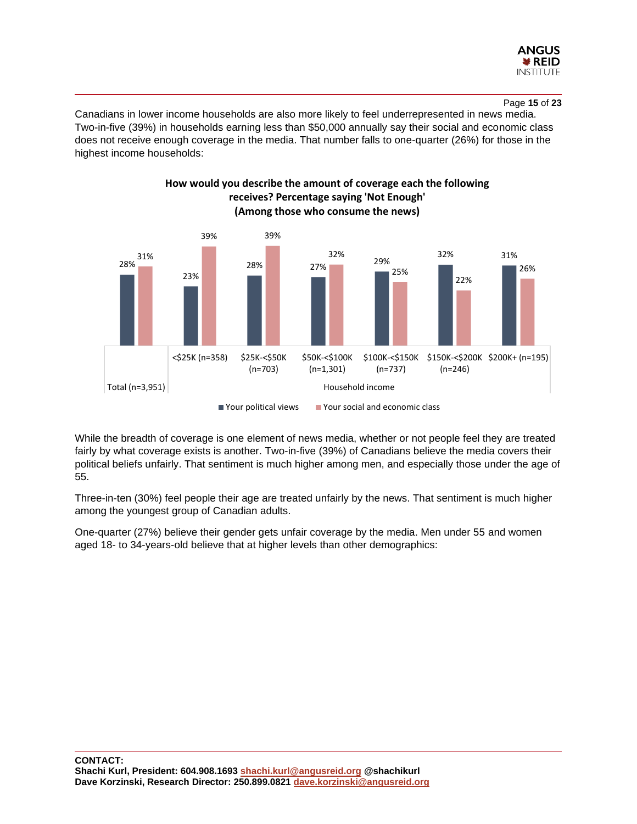

Canadians in lower income households are also more likely to feel underrepresented in news media. Two-in-five (39%) in households earning less than \$50,000 annually say their social and economic class does not receive enough coverage in the media. That number falls to one-quarter (26%) for those in the highest income households:



**How would you describe the amount of coverage each the following receives? Percentage saying 'Not Enough'**

While the breadth of coverage is one element of news media, whether or not people feel they are treated fairly by what coverage exists is another. Two-in-five (39%) of Canadians believe the media covers their political beliefs unfairly. That sentiment is much higher among men, and especially those under the age of 55.

Three-in-ten (30%) feel people their age are treated unfairly by the news. That sentiment is much higher among the youngest group of Canadian adults.

One-quarter (27%) believe their gender gets unfair coverage by the media. Men under 55 and women aged 18- to 34-years-old believe that at higher levels than other demographics: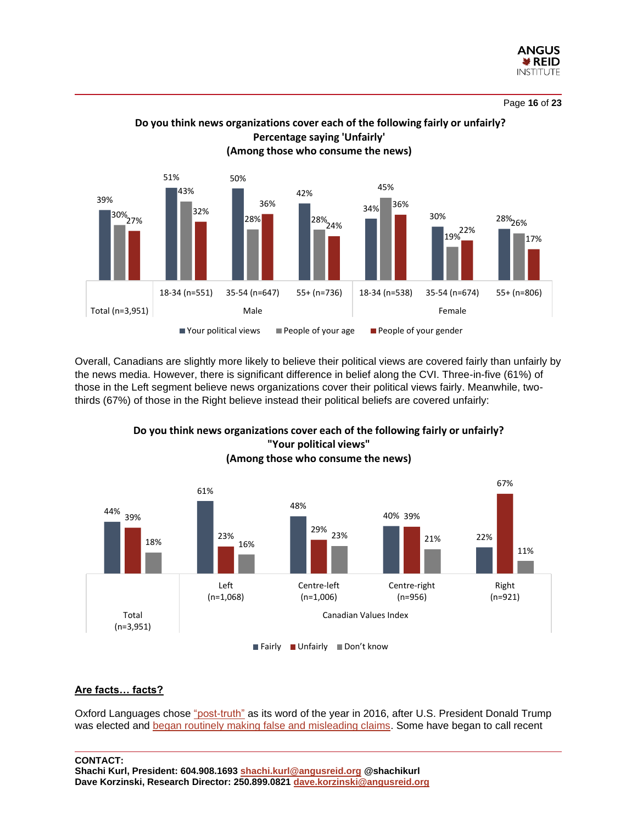



Overall, Canadians are slightly more likely to believe their political views are covered fairly than unfairly by the news media. However, there is significant difference in belief along the CVI. Three-in-five (61%) of those in the Left segment believe news organizations cover their political views fairly. Meanwhile, twothirds (67%) of those in the Right believe instead their political beliefs are covered unfairly:



**"Your political views" (Among those who consume the news)**

**Do you think news organizations cover each of the following fairly or unfairly?**

# **Are facts… facts?**

Oxford Languages chose ["post-truth"](https://thewalrus.ca/how-do-we-exit-the-post-truth-era/) as its word of the year in 2016, after U.S. President Donald Trump was elected and began routinely [making false and misleading claims.](https://thewalrus.ca/how-do-we-exit-the-post-truth-era/) Some have began to call recent

#### **CONTACT:**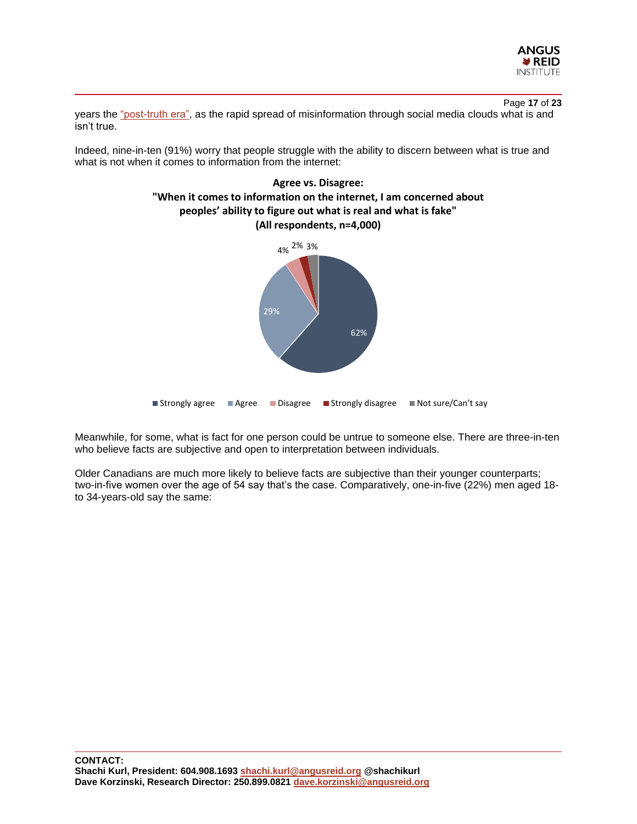

Page **17** of **23** years the ["post-truth era",](https://thewalrus.ca/how-do-we-exit-the-post-truth-era/) as the rapid spread of misinformation through social media clouds what is and isn't true.

Indeed, nine-in-ten (91%) worry that people struggle with the ability to discern between what is true and what is not when it comes to information from the internet:



Meanwhile, for some, what is fact for one person could be untrue to someone else. There are three-in-ten who believe facts are subjective and open to interpretation between individuals.

Older Canadians are much more likely to believe facts are subjective than their younger counterparts; two-in-five women over the age of 54 say that's the case. Comparatively, one-in-five (22%) men aged 18 to 34-years-old say the same: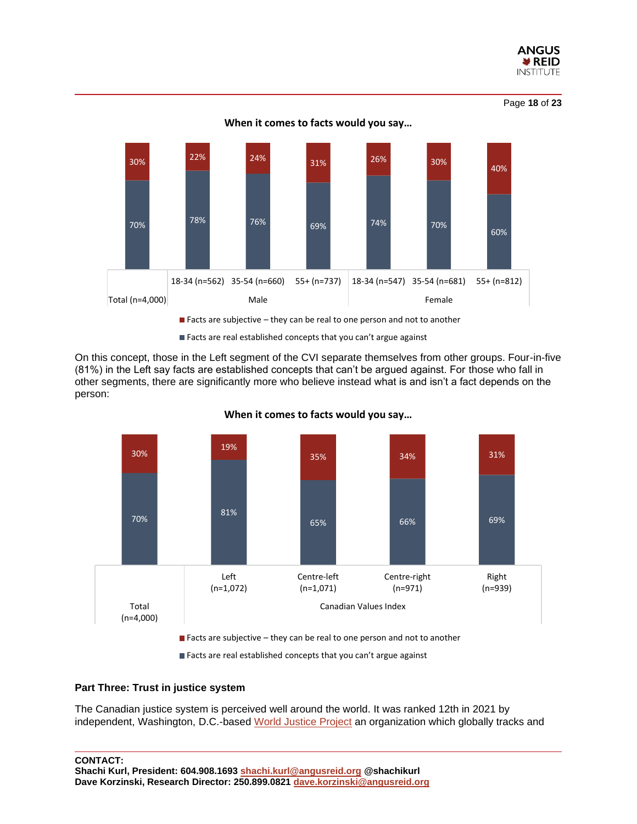

Page **18** of **23**



**When it comes to facts would you say…**

Facts are real established concepts that you can't argue against

On this concept, those in the Left segment of the CVI separate themselves from other groups. Four-in-five (81%) in the Left say facts are established concepts that can't be argued against. For those who fall in other segments, there are significantly more who believe instead what is and isn't a fact depends on the person:



**When it comes to facts would you say…**

Facts are real established concepts that you can't argue against

#### **Part Three: Trust in justice system**

The Canadian justice system is perceived well around the world. It was ranked 12th in 2021 by independent, Washington, D.C.-based [World Justice Project](https://worldjusticeproject.org/sites/default/files/documents/WJP-INDEX-21.pdf) an organization which globally tracks and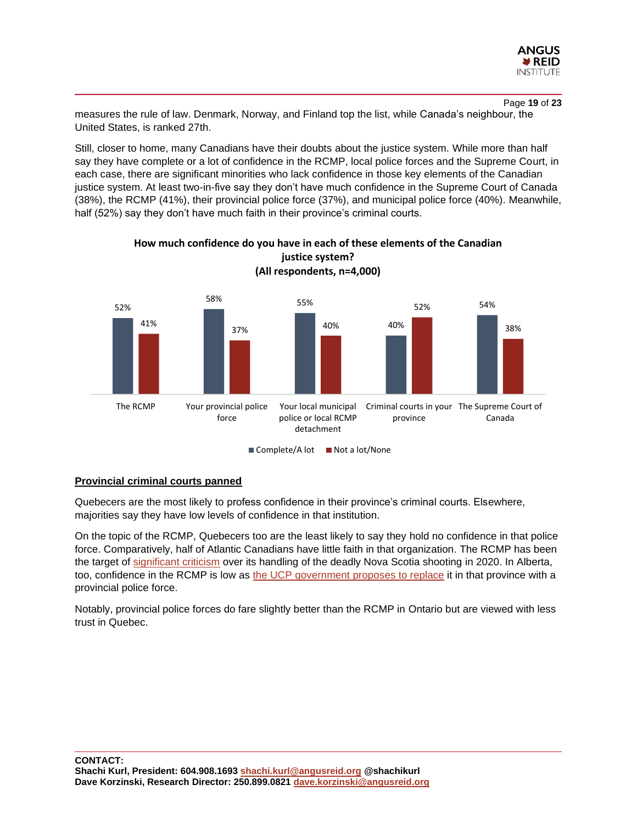

Page **19** of **23** measures the rule of law. Denmark, Norway, and Finland top the list, while Canada's neighbour, the United States, is ranked 27th.

Still, closer to home, many Canadians have their doubts about the justice system. While more than half say they have complete or a lot of confidence in the RCMP, local police forces and the Supreme Court, in each case, there are significant minorities who lack confidence in those key elements of the Canadian justice system. At least two-in-five say they don't have much confidence in the Supreme Court of Canada (38%), the RCMP (41%), their provincial police force (37%), and municipal police force (40%). Meanwhile, half (52%) say they don't have much faith in their province's criminal courts.





 $\blacksquare$  Complete/A lot  $\blacksquare$  Not a lot/None

#### **Provincial criminal courts panned**

Quebecers are the most likely to profess confidence in their province's criminal courts. Elsewhere, majorities say they have low levels of confidence in that institution.

On the topic of the RCMP, Quebecers too are the least likely to say they hold no confidence in that police force. Comparatively, half of Atlantic Canadians have little faith in that organization. The RCMP has been the target of [significant criticism](https://www.macleans.ca/news/canada/the-rcmp-is-broken/) over its handling of the deadly Nova Scotia shooting in 2020. In Alberta, too, confidence in the RCMP is low as [the UCP government proposes](https://globalnews.ca/news/8676304/alberta-provincial-police-force-municipalities-kenney/) to replace it in that province with a provincial police force.

Notably, provincial police forces do fare slightly better than the RCMP in Ontario but are viewed with less trust in Quebec.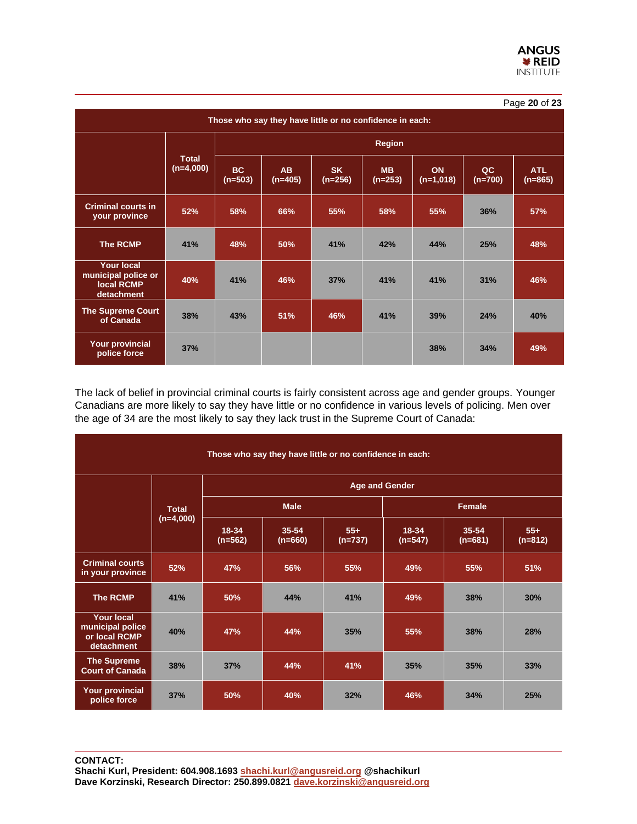| Page 20 of 23                                                               |                             |                        |                             |                        |                        |                   |                 |                         |  |  |  |  |
|-----------------------------------------------------------------------------|-----------------------------|------------------------|-----------------------------|------------------------|------------------------|-------------------|-----------------|-------------------------|--|--|--|--|
| Those who say they have little or no confidence in each:                    |                             |                        |                             |                        |                        |                   |                 |                         |  |  |  |  |
|                                                                             | <b>Total</b><br>$(n=4,000)$ | <b>Region</b>          |                             |                        |                        |                   |                 |                         |  |  |  |  |
|                                                                             |                             | <b>BC</b><br>$(n=503)$ | A <sub>B</sub><br>$(n=405)$ | <b>SK</b><br>$(n=256)$ | <b>MB</b><br>$(n=253)$ | ON<br>$(n=1,018)$ | QC<br>$(n=700)$ | <b>ATL</b><br>$(n=865)$ |  |  |  |  |
| <b>Criminal courts in</b><br>your province                                  | 52%                         | 58%                    | 66%                         | 55%                    | 58%                    | 55%               | 36%             | 57%                     |  |  |  |  |
| The RCMP                                                                    | 41%                         | 48%                    | 50%                         | 41%                    | 42%                    | 44%               | 25%             | 48%                     |  |  |  |  |
| <b>Your local</b><br>municipal police or<br><b>Iocal RCMP</b><br>detachment | 40%                         | 41%                    | 46%                         | 37%                    | 41%                    | 41%               | 31%             | 46%                     |  |  |  |  |
| <b>The Supreme Court</b><br>of Canada                                       | 38%                         | 43%                    | 51%                         | 46%                    | 41%                    | 39%               | 24%             | 40%                     |  |  |  |  |
| <b>Your provincial</b><br>police force                                      | 37%                         |                        |                             |                        |                        | 38%               | 34%             | 49%                     |  |  |  |  |

The lack of belief in provincial criminal courts is fairly consistent across age and gender groups. Younger Canadians are more likely to say they have little or no confidence in various levels of policing. Men over the age of 34 are the most likely to say they lack trust in the Supreme Court of Canada:

| Those who say they have little or no confidence in each:             |              |                       |                        |                    |                    |                    |                    |  |  |  |  |  |
|----------------------------------------------------------------------|--------------|-----------------------|------------------------|--------------------|--------------------|--------------------|--------------------|--|--|--|--|--|
|                                                                      | <b>Total</b> | <b>Age and Gender</b> |                        |                    |                    |                    |                    |  |  |  |  |  |
|                                                                      |              |                       | <b>Male</b>            |                    | Female             |                    |                    |  |  |  |  |  |
|                                                                      | $(n=4,000)$  | 18-34<br>$(n=562)$    | $35 - 54$<br>$(n=660)$ | $55+$<br>$(n=737)$ | 18-34<br>$(n=547)$ | 35-54<br>$(n=681)$ | $55+$<br>$(n=812)$ |  |  |  |  |  |
| <b>Criminal courts</b><br>in your province                           | 52%          | 47%                   | 56%                    | 55%                | 49%                | 55%                | 51%                |  |  |  |  |  |
| <b>The RCMP</b>                                                      | 41%          | 50%                   | 44%                    | 41%                | 49%                | 38%                | 30%                |  |  |  |  |  |
| <b>Your local</b><br>municipal police<br>or local RCMP<br>detachment | 40%          | 47%                   | 44%                    | 35%                | 55%                | 38%                | 28%                |  |  |  |  |  |
| <b>The Supreme</b><br><b>Court of Canada</b>                         | 38%          | 37%                   | 44%                    | 41%                | 35%                | 35%                | 33%                |  |  |  |  |  |
| <b>Your provincial</b><br>police force                               | 37%          | 50%                   | 40%                    | 32%                | 46%                | 34%                | 25%                |  |  |  |  |  |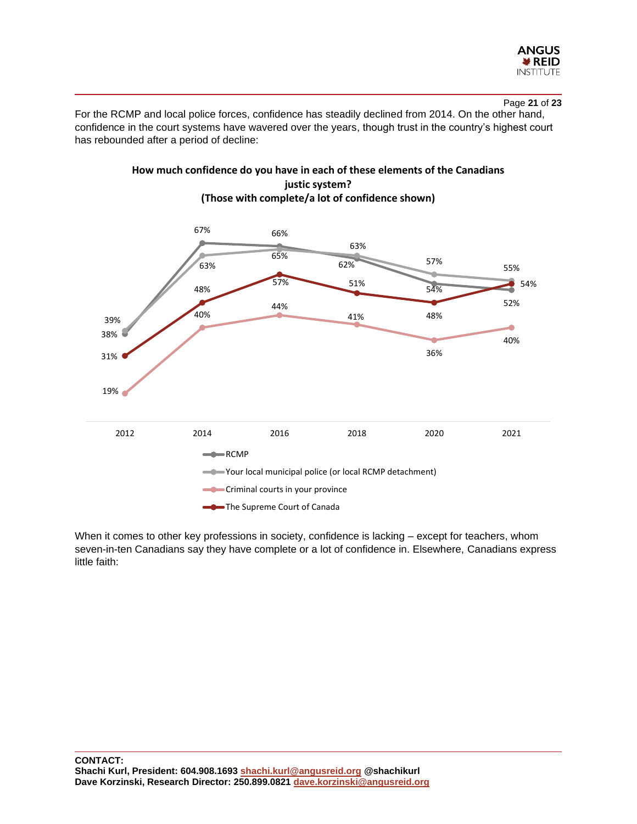

Page **21** of **23**

For the RCMP and local police forces, confidence has steadily declined from 2014. On the other hand, confidence in the court systems have wavered over the years, though trust in the country's highest court has rebounded after a period of decline:



**How much confidence do you have in each of these elements of the Canadians justic system?** 

When it comes to other key professions in society, confidence is lacking – except for teachers, whom seven-in-ten Canadians say they have complete or a lot of confidence in. Elsewhere, Canadians express little faith: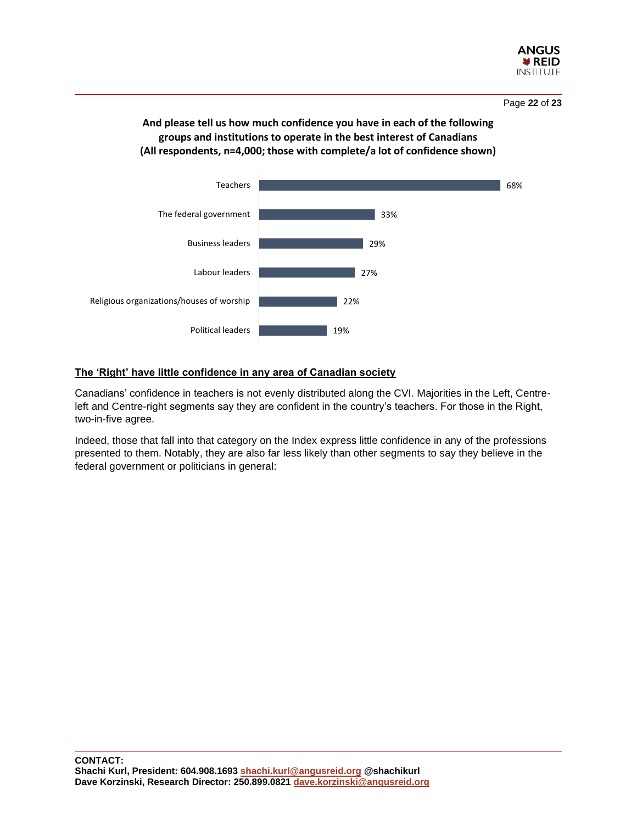

# **And please tell us how much confidence you have in each of the following groups and institutions to operate in the best interest of Canadians (All respondents, n=4,000; those with complete/a lot of confidence shown)**



# **The 'Right' have little confidence in any area of Canadian society**

Canadians' confidence in teachers is not evenly distributed along the CVI. Majorities in the Left, Centreleft and Centre-right segments say they are confident in the country's teachers. For those in the Right, two-in-five agree.

Indeed, those that fall into that category on the Index express little confidence in any of the professions presented to them. Notably, they are also far less likely than other segments to say they believe in the federal government or politicians in general: